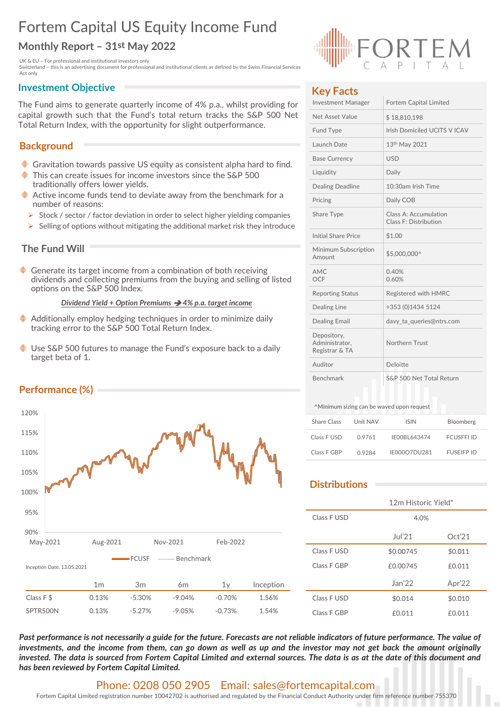# Fortem Capital US Equity Income Fund<br>
Monthly Report – 31st May 2022<br>
UK& EU – For professional and institutional investors only<br>
Switzerland – this is an advertising document for professional and institutional clients as Fortem Capital US Equity Income Fund

Fortem Capital US Equity Income Fund<br>
Monthly Report – 31st May 2022<br>
UK a EU-For professional and institutional investors only<br>
Switzerland – this is an advertising document for professional and institutional clients as d

# **Background**

- Gravitation towards passive US equity as consistent alpha hard to find.
- This can create issues for income investors since the S&P 500 traditionally offers lower yields.
- Active income funds tend to deviate away from the benchmark for a number of reasons:
- Stock / sector / factor deviation in order to select higher yielding companies
- $\triangleright$  Selling of options without mitigating the additional market risk they introduce

# The Fund Will

## Dividend Yield + Option Premiums  $\rightarrow$  4% p.a. target income

- Additionally employ hedging techniques in order to minimize daily tracking error to the S&P 500 Total Return Index.
- Use S&P 500 futures to manage the Fund's exposure back to a daily target beta of 1.





## Key Facts

| <b>Fortem Capital US Equity Income Fund</b>                                                                                                                                                                    |                                             |                                                |                   |
|----------------------------------------------------------------------------------------------------------------------------------------------------------------------------------------------------------------|---------------------------------------------|------------------------------------------------|-------------------|
| Monthly Report - 31st May 2022                                                                                                                                                                                 |                                             |                                                |                   |
| UK & EU - For professional and institutional investors only<br>Switzerland - this is an advertising document for professional and institutional clients as defined by the Swiss Financial Services<br>Act only |                                             |                                                |                   |
| <b>Investment Objective</b><br>The Fund aims to generate quarterly income of 4% p.a., whilst providing for                                                                                                     | <b>Key Facts</b><br>Investment Manager      | Fortem Capital Limited                         |                   |
| capital growth such that the Fund's total return tracks the S&P 500 Net                                                                                                                                        | Net Asset Value                             | \$18,810,198                                   |                   |
| Total Return Index, with the opportunity for slight outperformance.                                                                                                                                            | Fund Type                                   | Irish Domiciled UCITS V ICAV                   |                   |
| <b>Background</b>                                                                                                                                                                                              | Launch Date                                 | $13th$ May 2021                                |                   |
|                                                                                                                                                                                                                | <b>Base Currency</b>                        | <b>USD</b>                                     |                   |
| ♦ Gravitation towards passive US equity as consistent alpha hard to find.<br>◆<br>This can create issues for income investors since the S&P 500                                                                | Liquidity                                   | Daily                                          |                   |
| traditionally offers lower yields.                                                                                                                                                                             | <b>Dealing Deadline</b>                     | 10:30am Irish Time                             |                   |
| $\blacklozenge$ Active income funds tend to deviate away from the benchmark for a<br>number of reasons:                                                                                                        | Pricing                                     | Daily COB                                      |                   |
| Stock / sector / factor deviation in order to select higher yielding companies<br>$\triangleright$ Selling of options without mitigating the additional market risk they introduce                             | Share Type                                  | Class A: Accumulation<br>Class F: Distribution |                   |
|                                                                                                                                                                                                                | <b>Initial Share Price</b>                  | \$1.00                                         |                   |
| The Fund Will                                                                                                                                                                                                  | Minimum Subscription<br>Amount              | \$5,000,000^                                   |                   |
| Generate its target income from a combination of both receiving<br>dividends and collecting premiums from the buying and selling of listed<br>options on the S&P 500 Index.                                    | AMC<br>OCF                                  | 0.40%<br>0.60%                                 |                   |
| Dividend Yield + Option Premiums $\rightarrow$ 4% p.a. target income                                                                                                                                           | <b>Reporting Status</b>                     | Registered with HMRC                           |                   |
|                                                                                                                                                                                                                | Dealing Line                                | +353 (0)1434 5124                              |                   |
| $\blacklozenge$ Additionally employ hedging techniques in order to minimize daily<br>tracking error to the S&P 500 Total Return Index.                                                                         | <b>Dealing Email</b><br>Depository,         | davy_ta_queries@ntrs.com                       |                   |
| ♦ Use S&P 500 futures to manage the Fund's exposure back to a daily<br>target beta of 1.                                                                                                                       | Administrator,<br>Registrar & TA<br>Auditor | Northern Trust<br>Deloitte                     |                   |
|                                                                                                                                                                                                                | Benchmark                                   | S&P 500 Net Total Return                       |                   |
| Performance (%)                                                                                                                                                                                                |                                             |                                                |                   |
| 120%                                                                                                                                                                                                           | ^Minimum sizing can be waved upon request   |                                                |                   |
| 115%                                                                                                                                                                                                           | Unit NAV<br>Share Class                     | <b>ISIN</b>                                    | Bloomberg         |
|                                                                                                                                                                                                                | Class F USD<br>0.9761                       | IE00BL643474                                   | <b>FCUSFFI ID</b> |
| 110%                                                                                                                                                                                                           | Class F GBP<br>0.9284                       | IE000O7DU281                                   | <b>FUSEIFP ID</b> |
| 105%                                                                                                                                                                                                           | <b>Distributions</b>                        |                                                |                   |
| 100%                                                                                                                                                                                                           |                                             | 12m Historic Yield*                            |                   |
| 95%                                                                                                                                                                                                            | Class F USD                                 | 4.0%                                           |                   |
|                                                                                                                                                                                                                |                                             |                                                |                   |
| 90%<br>Aug-2021<br>Feb-2022<br>May-2021<br>Nov-2021                                                                                                                                                            |                                             | Jul21                                          | Oct'21            |
| -FCUSF<br>- Benchmark                                                                                                                                                                                          | Class F USD                                 | \$0.00745                                      | \$0.011           |
| Inception Date: 13.05.2021                                                                                                                                                                                     | Class F GBP                                 | £0.00745                                       | £0.011            |
| 1 <sub>m</sub><br>3m<br>1 <sub>y</sub><br>Inception<br>6m                                                                                                                                                      |                                             | Jan'22                                         | Apr'22            |
| Class F\$<br>1.56%<br>0.13%<br>$-5.30%$<br>$-9.04%$<br>$-0.70%$                                                                                                                                                | Class F USD                                 | \$0.014                                        | \$0.010           |

# **Distributions**

| Registrar & TA       |          |                                           |                   |
|----------------------|----------|-------------------------------------------|-------------------|
| Auditor              |          | Deloitte                                  |                   |
| <b>Benchmark</b>     |          | S&P 500 Net Total Return                  |                   |
|                      |          | ^Minimum sizing can be waved upon request |                   |
| <b>Share Class</b>   | Unit NAV | <b>ISIN</b>                               | Bloomberg         |
| Class F USD          | 0.9761   | IE00BL643474                              | <b>FCUSFFI ID</b> |
| Class F GBP          | 0.9284   | IE000O7DU281                              | <b>FUSEIFP ID</b> |
| <b>Distributions</b> |          | 12m Historic Yield*                       |                   |
| Class F USD          |          | 4.0%                                      |                   |
|                      |          | Jul21                                     | Oct'21            |
| Class F USD          |          | \$0.00745                                 | \$0.011           |
| Class F GBP          |          | £0.00745                                  | £0.011            |
|                      |          | Jan'22                                    | Apr'22            |
| Class F USD          |          | \$0.014                                   | \$0.010           |
| Class F GBP          |          | £0.011                                    | £0.011            |

## Phone: 0208 050 2905 Email: sales@fortemcapital.com

## Performance (%)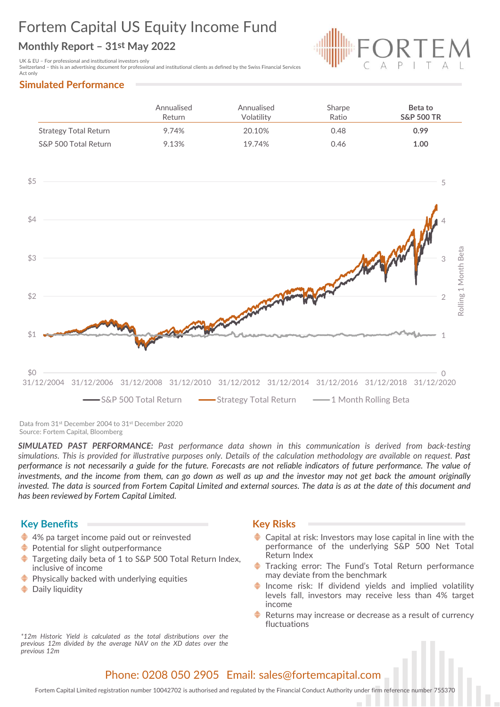# Fortem Capital US Equity Income Fund Fortem Capital US Equity Income Fund<br>
Monthly Report – 31st May 2022<br>
UK & EU – For professional and institutional investors only<br>
Simulated Performance<br>
Simulated Performance



| <b>Fortem Capital US Equity Income Fund</b>                                                                                                                                                        |                      |                          |                 |                                  |
|----------------------------------------------------------------------------------------------------------------------------------------------------------------------------------------------------|----------------------|--------------------------|-----------------|----------------------------------|
|                                                                                                                                                                                                    |                      |                          |                 |                                  |
| Monthly Report - 31st May 2022                                                                                                                                                                     |                      |                          |                 |                                  |
| UK & EU - For professional and institutional investors only<br>Switzerland - this is an advertising document for professional and institutional clients as defined by the Swiss Financial Services |                      |                          |                 | EM                               |
| Act only<br><b>Simulated Performance</b>                                                                                                                                                           |                      |                          |                 |                                  |
|                                                                                                                                                                                                    | Annualised<br>Return | Annualised<br>Volatility | Sharpe<br>Ratio | Beta to<br><b>S&amp;P 500 TR</b> |
| <b>Strategy Total Return</b>                                                                                                                                                                       | 9.74%                | 20.10%                   | 0.48            | 0.99                             |



Data from 31st December 2004 to 31st December 2020 Source: Fortem Capital, Bloomberg

Fortem Capital Limited registration number 10042702 is authorised and regulated by Fortem Capital Limited and external sources. The data is as at the date of this document and<br>
Fortem Capital Limited in the date of this do Physically backed with underlying equities 20004 31/12/2006 31/12/2008 31/12/2010 31/12/2012 31/12/2014 3<br>
Since 5 Since 5 Since 5 Since 5 Since 5 Since 5 Since 5 Since 5 Since 5 Since 5 Since 5 Since 5 Since 5 Since 5 Since 5 Since 5 Since 5 Since 5 Since 5 Cont 31/12/2014 31/12/2016 31/12/2018 31/12/2020<br>
Il Return <u>and 11/12/2016</u> 31/12/2020<br>
Il Return **and 11** Month Rolling Beta<br>
Il Return **and 11** Month Rolling Beta<br>
Il Surn in this communication is derived from back-testing<br> 31/12/2014 31/12/2016 31/12/2018 31/12/2020<br>
al Return  $\longrightarrow$  1 Month Rolling Beta<br>
and The and The and The and The and The and The and The and The and The investor of reliable indicators of future performance. The value of al Return **1.** Month Rolling Beta<br>
All Return **and the communication is derived from back-testing**<br>
the calculation methodology are available on request. Past<br>
or defiable indicators of future performance. The value of<br>
an Stations 32 December 2002<br>
Sharton Stations Toking that is provided for the calculation methodology are overlable on equest. Past<br>
IMULATED PAST PERFORMANCE: Past performance data shown in this communication is derived fro previous The model is complete. The model of the communication is derived from brack-testing<br>
imulations. This is provided for illustrative purposes only. Details of the calculation methodology are available on request. SIMULATED PAST PERFORMANCE: Past performance data shown in this commulations. This is provided for illustrative purposes only. Details of the calculation enformance is not necessarily a guide for the future. Forecasts are

## Key Benefits **Key Risks** Key Risks

- 
- 
- 
- 
- 

- 
- 
- income
- fluctuations

# Phone: 0208 050 2905 Email: sales@fortemcapital.com